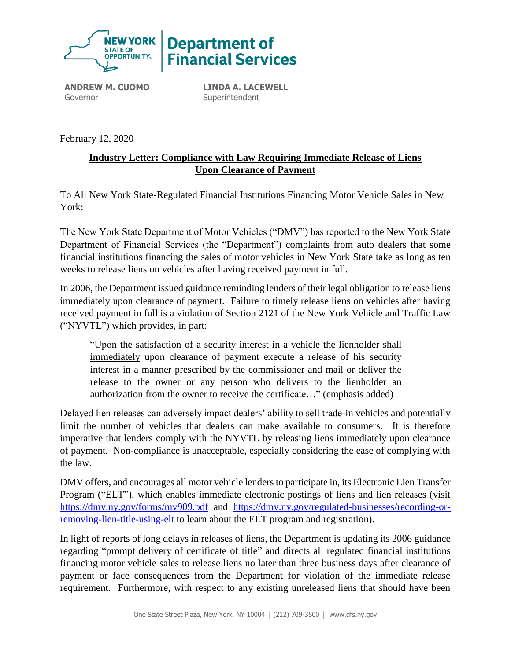

**ANDREW M. CUOMO** Governor

**LINDA A. LACEWELL Superintendent** 

February 12, 2020

## **Industry Letter: Compliance with Law Requiring Immediate Release of Liens Upon Clearance of Payment**

To All New York State-Regulated Financial Institutions Financing Motor Vehicle Sales in New York:

The New York State Department of Motor Vehicles ("DMV") has reported to the New York State Department of Financial Services (the "Department") complaints from auto dealers that some financial institutions financing the sales of motor vehicles in New York State take as long as ten weeks to release liens on vehicles after having received payment in full.

In 2006, the Department issued guidance reminding lenders of their legal obligation to release liens immediately upon clearance of payment. Failure to timely release liens on vehicles after having received payment in full is a violation of Section 2121 of the New York Vehicle and Traffic Law ("NYVTL") which provides, in part:

"Upon the satisfaction of a security interest in a vehicle the lienholder shall immediately upon clearance of payment execute a release of his security interest in a manner prescribed by the commissioner and mail or deliver the release to the owner or any person who delivers to the lienholder an authorization from the owner to receive the certificate…" (emphasis added)

Delayed lien releases can adversely impact dealers' ability to sell trade-in vehicles and potentially limit the number of vehicles that dealers can make available to consumers. It is therefore imperative that lenders comply with the NYVTL by releasing liens immediately upon clearance of payment. Non-compliance is unacceptable, especially considering the ease of complying with the law.

DMV offers, and encourages all motor vehicle lenders to participate in, its Electronic Lien Transfer Program ("ELT"), which enables immediate electronic postings of liens and lien releases (visit <https://dmv.ny.gov/forms/mv909.pdf> and [https://dmv.ny.gov/regulated-businesses/recording-or](https://dmv.ny.gov/regulated-businesses/recording-or-removing-lien-title-using-elt)[removing-lien-title-using-elt](https://dmv.ny.gov/regulated-businesses/recording-or-removing-lien-title-using-elt) to learn about the ELT program and registration).

In light of reports of long delays in releases of liens, the Department is updating its 2006 guidance regarding "prompt delivery of certificate of title" and directs all regulated financial institutions financing motor vehicle sales to release liens no later than three business days after clearance of payment or face consequences from the Department for violation of the immediate release requirement. Furthermore, with respect to any existing unreleased liens that should have been